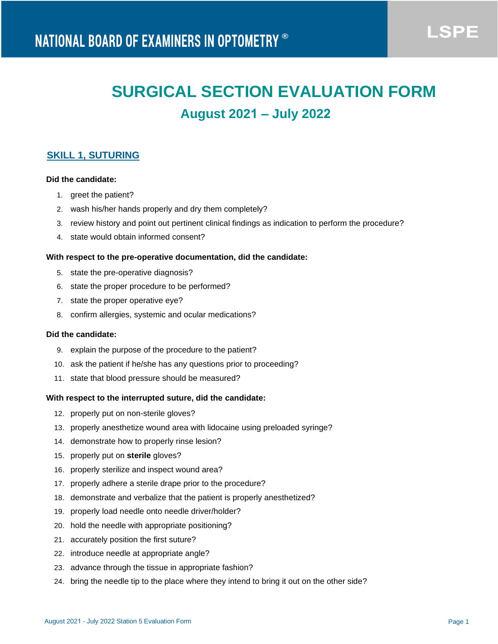**LSPE** 

# **SURGICAL SECTION EVALUATION FORM August 2021 – July 2022**

# **SKILL 1, SUTURING**

# **Did the candidate:**

- 1. greet the patient?
- 2. wash his/her hands properly and dry them completely?
- 3. review history and point out pertinent clinical findings as indication to perform the procedure?
- 4. state would obtain informed consent?

#### **With respect to the pre-operative documentation, did the candidate:**

- 5. state the pre-operative diagnosis?
- 6. state the proper procedure to be performed?
- 7. state the proper operative eye?
- 8. confirm allergies, systemic and ocular medications?

# **Did the candidate:**

- 9. explain the purpose of the procedure to the patient?
- 10. ask the patient if he/she has any questions prior to proceeding?
- 11. state that blood pressure should be measured?

#### **With respect to the interrupted suture, did the candidate:**

- 12. properly put on non-sterile gloves?
- 13. properly anesthetize wound area with lidocaine using preloaded syringe?
- 14. demonstrate how to properly rinse lesion?
- 15. properly put on **sterile** gloves?
- 16. properly sterilize and inspect wound area?
- 17. properly adhere a sterile drape prior to the procedure?
- 18. demonstrate and verbalize that the patient is properly anesthetized?
- 19. properly load needle onto needle driver/holder?
- 20. hold the needle with appropriate positioning?
- 21. accurately position the first suture?
- 22. introduce needle at appropriate angle?
- 23. advance through the tissue in appropriate fashion?
- 24. bring the needle tip to the place where they intend to bring it out on the other side?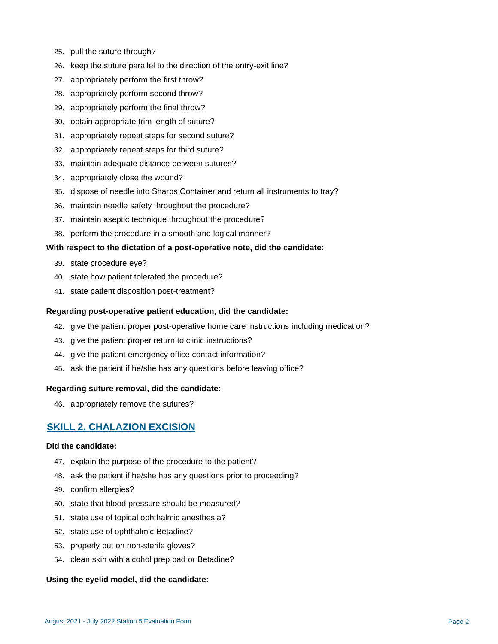- 25. pull the suture through?
- 26. keep the suture parallel to the direction of the entry-exit line?
- 27. appropriately perform the first throw?
- 28. appropriately perform second throw?
- 29. appropriately perform the final throw?
- 30. obtain appropriate trim length of suture?
- 31. appropriately repeat steps for second suture?
- 32. appropriately repeat steps for third suture?
- 33. maintain adequate distance between sutures?
- 34. appropriately close the wound?
- 35. dispose of needle into Sharps Container and return all instruments to tray?
- 36. maintain needle safety throughout the procedure?
- 37. maintain aseptic technique throughout the procedure?
- 38. perform the procedure in a smooth and logical manner?

## **With respect to the dictation of a post-operative note, did the candidate:**

- 39. state procedure eye?
- 40. state how patient tolerated the procedure?
- 41. state patient disposition post-treatment?

#### **Regarding post-operative patient education, did the candidate:**

- 42. give the patient proper post-operative home care instructions including medication?
- 43. give the patient proper return to clinic instructions?
- 44. give the patient emergency office contact information?
- 45. ask the patient if he/she has any questions before leaving office?

#### **Regarding suture removal, did the candidate:**

46. appropriately remove the sutures?

# **SKILL 2, CHALAZION EXCISION**

#### **Did the candidate:**

- 47. explain the purpose of the procedure to the patient?
- 48. ask the patient if he/she has any questions prior to proceeding?
- 49. confirm allergies?
- 50. state that blood pressure should be measured?
- 51. state use of topical ophthalmic anesthesia?
- 52. state use of ophthalmic Betadine?
- 53. properly put on non-sterile gloves?
- 54. clean skin with alcohol prep pad or Betadine?

## **Using the eyelid model, did the candidate:**